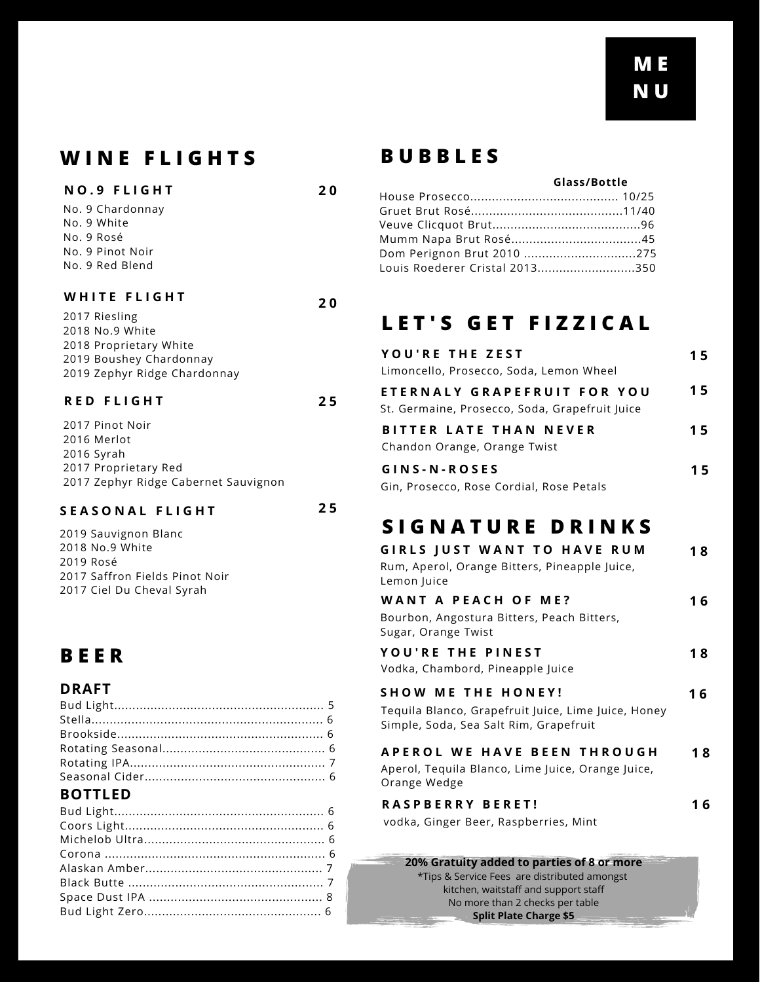## **W I N E F L I G H T S B U B B L E S**

### **N O . 9 F L I G H T**

No. 9 Chardonnay No. 9 White No. 9 Rosé No. 9 Pinot Noir No. 9 Red Blend

### **W H I T E F L I G H T**

2017 Riesling No.9 White Proprietary White Boushey Chardonnay Zephyr Ridge Chardonnay

### **R E D F L I G H T**

2017 Pinot Noir 2016 Merlot 2016 Syrah 2017 Proprietary Red 2017 Zephyr Ridge Cabernet Sauvignon

### **S E A S O N A L F L I G H T**

**2 5**

**2 0**

**2 0**

**2 5**

 Sauvignon Blanc No.9 White 2019 Rosé Saffron Fields Pinot Noir Ciel Du Cheval Syrah

## **B E E R**

## **DRAFT**

| <b>BOTTLED</b> |  |
|----------------|--|

### **BOTTLED**

### **Glass/Bottle**

| Dom Perignon Brut 2010 275     |  |
|--------------------------------|--|
| Louis Roederer Cristal 2013350 |  |

## **L E T ' S G E T F I Z Z I C A L**

| YOU'RE THE ZEST                                | 15 |
|------------------------------------------------|----|
| Limoncello, Prosecco, Soda, Lemon Wheel        |    |
| ETERNALY GRAPEFRUIT FOR YOU                    | 15 |
| St. Germaine, Prosecco, Soda, Grapefruit Juice |    |
| BITTER LATE THAN NEVER                         | 15 |
| Chandon Orange, Orange Twist                   |    |
| GINS-N-ROSES                                   | 15 |
| Gin, Prosecco, Rose Cordial, Rose Petals       |    |

## **S I G N A T U R E D R I N K S**

| <b>GIRLS JUST WANT TO HAVE RUM</b><br>Rum, Aperol, Orange Bitters, Pineapple Juice,<br>Lemon Juice | 18 |
|----------------------------------------------------------------------------------------------------|----|
| <b>WANT A PEACH OF ME?</b>                                                                         | 16 |
| Bourbon, Angostura Bitters, Peach Bitters,<br>Sugar, Orange Twist                                  |    |
| <b>YOU'RE THE PINEST</b>                                                                           | 18 |
| Vodka, Chambord, Pineapple Juice                                                                   |    |
| <b>SHOW ME THE HONEY!</b>                                                                          | 16 |
| Tequila Blanco, Grapefruit Juice, Lime Juice, Honey<br>Simple, Soda, Sea Salt Rim, Grapefruit      |    |
| APEROL WE HAVE BEEN THROUGH                                                                        | 18 |
| Aperol, Tequila Blanco, Lime Juice, Orange Juice,                                                  |    |
| Orange Wedge                                                                                       |    |
| <b>RASPBERRY BERET!</b>                                                                            | 6  |
| vodka, Ginger Beer, Raspberries, Mint                                                              |    |

**20% Gratuity added to parties of 8 or more** \*Tips & Service Fees are distributed amongst kitchen, waitstaff and support staff No more than 2 checks per table **Split Plate Charge \$5**